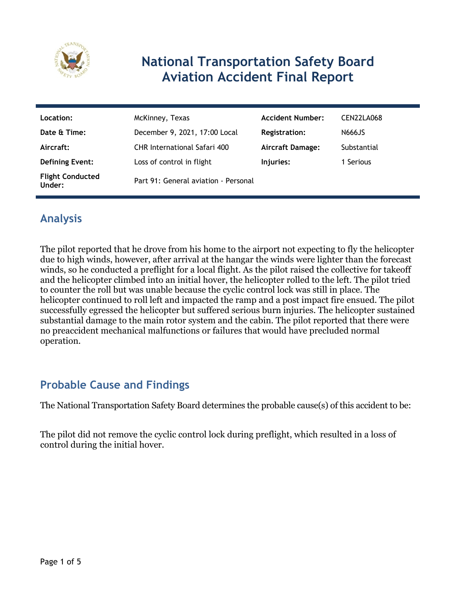

# **National Transportation Safety Board Aviation Accident Final Report**

| Location:                         | McKinney, Texas                      | <b>Accident Number:</b> | CEN22LA068  |
|-----------------------------------|--------------------------------------|-------------------------|-------------|
| Date & Time:                      | December 9, 2021, 17:00 Local        | <b>Registration:</b>    | N666JS      |
| Aircraft:                         | <b>CHR International Safari 400</b>  | <b>Aircraft Damage:</b> | Substantial |
| <b>Defining Event:</b>            | Loss of control in flight            | Injuries:               | 1 Serious   |
| <b>Flight Conducted</b><br>Under: | Part 91: General aviation - Personal |                         |             |

### **Analysis**

The pilot reported that he drove from his home to the airport not expecting to fly the helicopter due to high winds, however, after arrival at the hangar the winds were lighter than the forecast winds, so he conducted a preflight for a local flight. As the pilot raised the collective for takeoff and the helicopter climbed into an initial hover, the helicopter rolled to the left. The pilot tried to counter the roll but was unable because the cyclic control lock was still in place. The helicopter continued to roll left and impacted the ramp and a post impact fire ensued. The pilot successfully egressed the helicopter but suffered serious burn injuries. The helicopter sustained substantial damage to the main rotor system and the cabin. The pilot reported that there were no preaccident mechanical malfunctions or failures that would have precluded normal operation.

### **Probable Cause and Findings**

The National Transportation Safety Board determines the probable cause(s) of this accident to be:

The pilot did not remove the cyclic control lock during preflight, which resulted in a loss of control during the initial hover.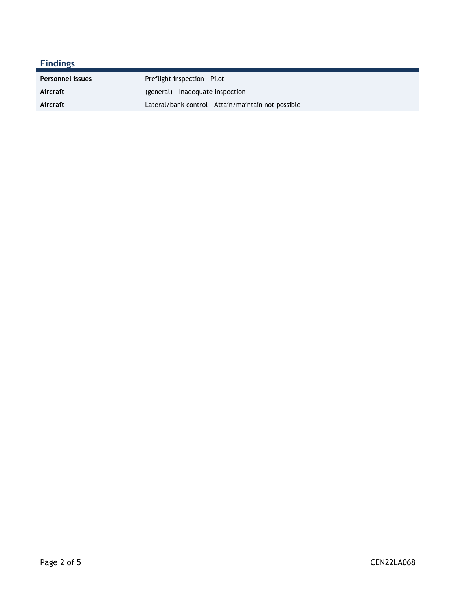### **Findings**

| <b>Personnel issues</b> | Preflight inspection - Pilot                        |
|-------------------------|-----------------------------------------------------|
| Aircraft                | (general) - Inadequate inspection                   |
| Aircraft                | Lateral/bank control - Attain/maintain not possible |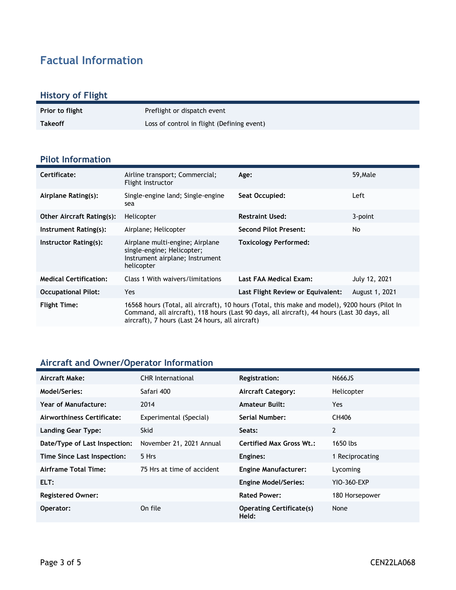## **Factual Information**

#### **History of Flight**

| <b>Prior to flight</b> | Preflight or dispatch event                |
|------------------------|--------------------------------------------|
| <b>Takeoff</b>         | Loss of control in flight (Defining event) |

#### **Pilot Information**

| Certificate:                     | Airline transport; Commercial;<br>Flight instructor                                                                                                                                                                                               | Age:                              | 59, Male       |
|----------------------------------|---------------------------------------------------------------------------------------------------------------------------------------------------------------------------------------------------------------------------------------------------|-----------------------------------|----------------|
| Airplane Rating(s):              | Single-engine land; Single-engine<br>sea                                                                                                                                                                                                          | Seat Occupied:                    | Left           |
| <b>Other Aircraft Rating(s):</b> | Helicopter                                                                                                                                                                                                                                        | <b>Restraint Used:</b>            | 3-point        |
| Instrument Rating(s):            | Airplane; Helicopter                                                                                                                                                                                                                              | <b>Second Pilot Present:</b>      | No             |
| Instructor Rating(s):            | Airplane multi-engine; Airplane<br>single-engine; Helicopter;<br>Instrument airplane; Instrument<br>helicopter                                                                                                                                    | <b>Toxicology Performed:</b>      |                |
| <b>Medical Certification:</b>    | Class 1 With waivers/limitations                                                                                                                                                                                                                  | Last FAA Medical Exam:            | July 12, 2021  |
| <b>Occupational Pilot:</b>       | <b>Yes</b>                                                                                                                                                                                                                                        | Last Flight Review or Equivalent: | August 1, 2021 |
| <b>Flight Time:</b>              | 16568 hours (Total, all aircraft), 10 hours (Total, this make and model), 9200 hours (Pilot In<br>Command, all aircraft), 118 hours (Last 90 days, all aircraft), 44 hours (Last 30 days, all<br>aircraft), 7 hours (Last 24 hours, all aircraft) |                                   |                |

### **Aircraft and Owner/Operator Information**

| Aircraft Make:                | <b>CHR</b> International   | Registration:                            | N666JS          |
|-------------------------------|----------------------------|------------------------------------------|-----------------|
| <b>Model/Series:</b>          | Safari 400                 | <b>Aircraft Category:</b>                | Helicopter      |
| Year of Manufacture:          | 2014                       | <b>Amateur Built:</b>                    | Yes.            |
| Airworthiness Certificate:    | Experimental (Special)     | Serial Number:                           | CH406           |
| <b>Landing Gear Type:</b>     | <b>Skid</b>                | Seats:                                   | $\overline{2}$  |
| Date/Type of Last Inspection: | November 21, 2021 Annual   | <b>Certified Max Gross Wt.:</b>          | 1650 lbs        |
| Time Since Last Inspection:   | 5 Hrs                      | Engines:                                 | 1 Reciprocating |
| Airframe Total Time:          | 75 Hrs at time of accident | <b>Engine Manufacturer:</b>              | Lycoming        |
| ELT:                          |                            | <b>Engine Model/Series:</b>              | YIO-360-EXP     |
| <b>Registered Owner:</b>      |                            | <b>Rated Power:</b>                      | 180 Horsepower  |
| Operator:                     | On file                    | <b>Operating Certificate(s)</b><br>Held: | None            |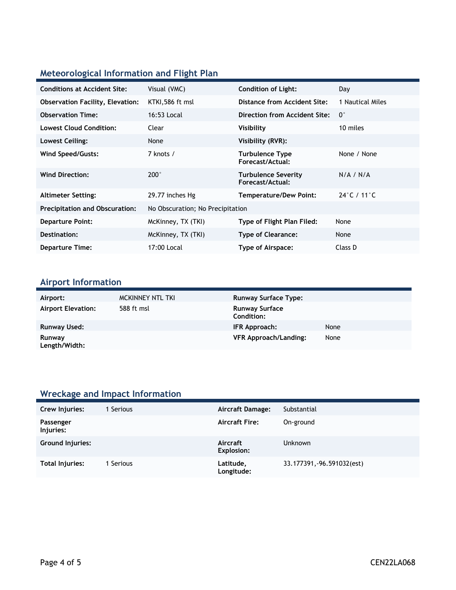### **Meteorological Information and Flight Plan**

| <b>Conditions at Accident Site:</b>     | Visual (VMC)                     | <b>Condition of Light:</b>                     | Day                              |
|-----------------------------------------|----------------------------------|------------------------------------------------|----------------------------------|
| <b>Observation Facility, Elevation:</b> | KTKI,586 ft msl                  | Distance from Accident Site:                   | 1 Nautical Miles                 |
| <b>Observation Time:</b>                | 16:53 Local                      | Direction from Accident Site:                  | $0^{\circ}$                      |
| <b>Lowest Cloud Condition:</b>          | Clear                            | Visibility                                     | 10 miles                         |
| Lowest Ceiling:                         | None                             | Visibility (RVR):                              |                                  |
| Wind Speed/Gusts:                       | 7 knots /                        | <b>Turbulence Type</b><br>Forecast/Actual:     | None / None                      |
| <b>Wind Direction:</b>                  | $200^\circ$                      | <b>Turbulence Severity</b><br>Forecast/Actual: | N/A / N/A                        |
| <b>Altimeter Setting:</b>               | 29.77 inches Hg                  | <b>Temperature/Dew Point:</b>                  | $24^{\circ}$ C / 11 $^{\circ}$ C |
| <b>Precipitation and Obscuration:</b>   | No Obscuration; No Precipitation |                                                |                                  |
| <b>Departure Point:</b>                 | McKinney, TX (TKI)               | Type of Flight Plan Filed:                     | None                             |
| Destination:                            | McKinney, TX (TKI)               | <b>Type of Clearance:</b>                      | None                             |
| <b>Departure Time:</b>                  | 17:00 Local                      | Type of Airspace:                              | Class D                          |

#### **Airport Information**

| Airport:                  | MCKINNEY NTL TKI | <b>Runway Surface Type:</b>         |      |
|---------------------------|------------------|-------------------------------------|------|
| <b>Airport Elevation:</b> | 588 ft msl       | <b>Runway Surface</b><br>Condition: |      |
| Runway Used:              |                  | IFR Approach:                       | None |
| Runway<br>Length/Width:   |                  | <b>VFR Approach/Landing:</b>        | None |

### **Wreckage and Impact Information**

| Crew Injuries:         | Serious | <b>Aircraft Damage:</b>       | Substantial                |
|------------------------|---------|-------------------------------|----------------------------|
| Passenger<br>Injuries: |         | <b>Aircraft Fire:</b>         | On-ground                  |
| Ground Injuries:       |         | Aircraft<br><b>Explosion:</b> | <b>Unknown</b>             |
| <b>Total Injuries:</b> | Serious | Latitude,<br>Longitude:       | 33.177391, -96.591032(est) |